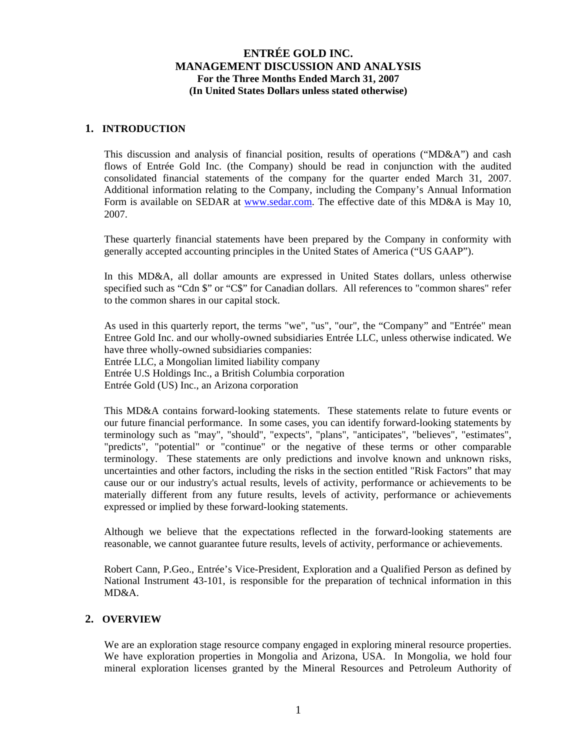### **1. INTRODUCTION**

This discussion and analysis of financial position, results of operations ("MD&A") and cash flows of Entrée Gold Inc. (the Company) should be read in conjunction with the audited consolidated financial statements of the company for the quarter ended March 31, 2007. Additional information relating to the Company, including the Company's Annual Information Form is available on SEDAR at [www.sedar.com](http://www.sedar.com/). The effective date of this MD&A is May 10, 2007.

These quarterly financial statements have been prepared by the Company in conformity with generally accepted accounting principles in the United States of America ("US GAAP").

In this MD&A, all dollar amounts are expressed in United States dollars, unless otherwise specified such as "Cdn \$" or "C\$" for Canadian dollars. All references to "common shares" refer to the common shares in our capital stock.

As used in this quarterly report, the terms "we", "us", "our", the "Company" and "Entrée" mean Entree Gold Inc. and our wholly-owned subsidiaries Entrée LLC, unless otherwise indicated. We have three wholly-owned subsidiaries companies: Entrée LLC, a Mongolian limited liability company Entrée U.S Holdings Inc., a British Columbia corporation Entrée Gold (US) Inc., an Arizona corporation

This MD&A contains forward-looking statements. These statements relate to future events or our future financial performance. In some cases, you can identify forward-looking statements by terminology such as "may", "should", "expects", "plans", "anticipates", "believes", "estimates", "predicts", "potential" or "continue" or the negative of these terms or other comparable terminology. These statements are only predictions and involve known and unknown risks, uncertainties and other factors, including the risks in the section entitled "Risk Factors" that may cause our or our industry's actual results, levels of activity, performance or achievements to be materially different from any future results, levels of activity, performance or achievements expressed or implied by these forward-looking statements.

Although we believe that the expectations reflected in the forward-looking statements are reasonable, we cannot guarantee future results, levels of activity, performance or achievements.

Robert Cann, P.Geo., Entrée's Vice-President, Exploration and a Qualified Person as defined by National Instrument 43-101, is responsible for the preparation of technical information in this MD&A.

## **2. OVERVIEW**

We are an exploration stage resource company engaged in exploring mineral resource properties. We have exploration properties in Mongolia and Arizona, USA. In Mongolia, we hold four mineral exploration licenses granted by the Mineral Resources and Petroleum Authority of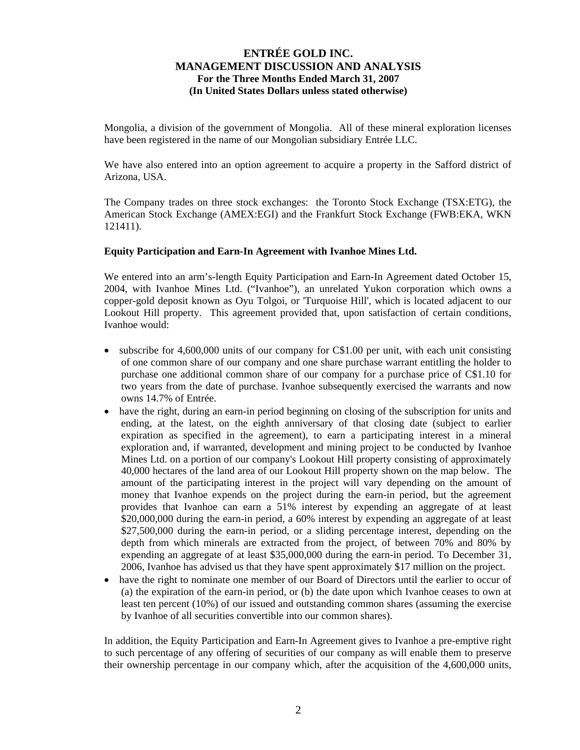Mongolia, a division of the government of Mongolia. All of these mineral exploration licenses have been registered in the name of our Mongolian subsidiary Entrée LLC.

We have also entered into an option agreement to acquire a property in the Safford district of Arizona, USA.

The Company trades on three stock exchanges: the Toronto Stock Exchange (TSX:ETG), the American Stock Exchange (AMEX:EGI) and the Frankfurt Stock Exchange (FWB:EKA, WKN 121411).

### **Equity Participation and Earn-In Agreement with Ivanhoe Mines Ltd.**

We entered into an arm's-length Equity Participation and Earn-In Agreement dated October 15, 2004, with Ivanhoe Mines Ltd. ("Ivanhoe"), an unrelated Yukon corporation which owns a copper-gold deposit known as Oyu Tolgoi, or 'Turquoise Hill', which is located adjacent to our Lookout Hill property. This agreement provided that, upon satisfaction of certain conditions, Ivanhoe would:

- subscribe for 4,600,000 units of our company for C\$1.00 per unit, with each unit consisting of one common share of our company and one share purchase warrant entitling the holder to purchase one additional common share of our company for a purchase price of C\$1.10 for two years from the date of purchase. Ivanhoe subsequently exercised the warrants and now owns 14.7% of Entrée.
- have the right, during an earn-in period beginning on closing of the subscription for units and ending, at the latest, on the eighth anniversary of that closing date (subject to earlier expiration as specified in the agreement), to earn a participating interest in a mineral exploration and, if warranted, development and mining project to be conducted by Ivanhoe Mines Ltd. on a portion of our company's Lookout Hill property consisting of approximately 40,000 hectares of the land area of our Lookout Hill property shown on the map below. The amount of the participating interest in the project will vary depending on the amount of money that Ivanhoe expends on the project during the earn-in period, but the agreement provides that Ivanhoe can earn a 51% interest by expending an aggregate of at least \$20,000,000 during the earn-in period, a 60% interest by expending an aggregate of at least \$27,500,000 during the earn-in period, or a sliding percentage interest, depending on the depth from which minerals are extracted from the project, of between 70% and 80% by expending an aggregate of at least \$35,000,000 during the earn-in period. To December 31, 2006, Ivanhoe has advised us that they have spent approximately \$17 million on the project.
- have the right to nominate one member of our Board of Directors until the earlier to occur of (a) the expiration of the earn-in period, or (b) the date upon which Ivanhoe ceases to own at least ten percent (10%) of our issued and outstanding common shares (assuming the exercise by Ivanhoe of all securities convertible into our common shares).

In addition, the Equity Participation and Earn-In Agreement gives to Ivanhoe a pre-emptive right to such percentage of any offering of securities of our company as will enable them to preserve their ownership percentage in our company which, after the acquisition of the 4,600,000 units,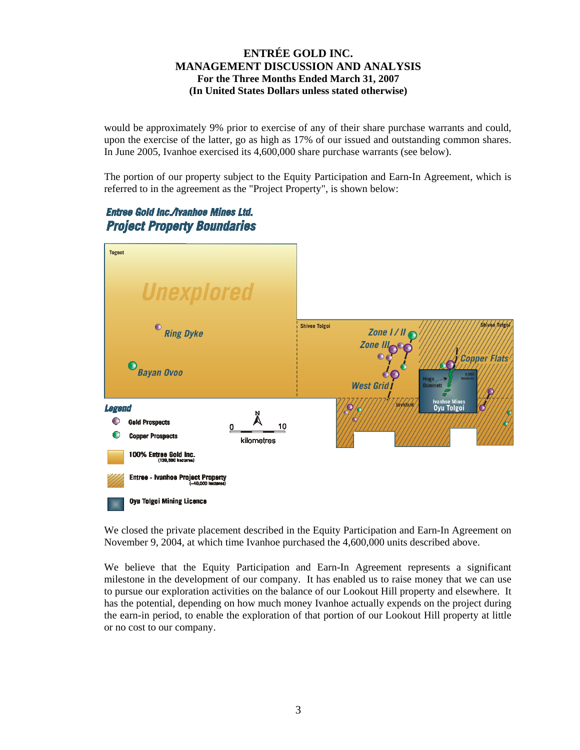would be approximately 9% prior to exercise of any of their share purchase warrants and could, upon the exercise of the latter, go as high as 17% of our issued and outstanding common shares. In June 2005, Ivanhoe exercised its 4,600,000 share purchase warrants (see below).

The portion of our property subject to the Equity Participation and Earn-In Agreement, which is referred to in the agreement as the "Project Property", is shown below:

# Entree Gold Inc./Ivanhoe Mines Ltd. **Project Property Boundaries**



We closed the private placement described in the Equity Participation and Earn-In Agreement on November 9, 2004, at which time Ivanhoe purchased the 4,600,000 units described above.

We believe that the Equity Participation and Earn-In Agreement represents a significant milestone in the development of our company. It has enabled us to raise money that we can use to pursue our exploration activities on the balance of our Lookout Hill property and elsewhere. It has the potential, depending on how much money Ivanhoe actually expends on the project during the earn-in period, to enable the exploration of that portion of our Lookout Hill property at little or no cost to our company.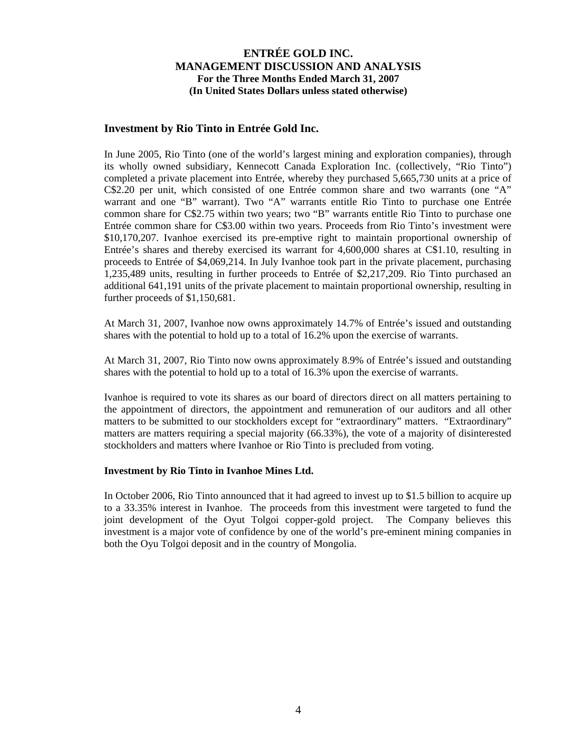## **Investment by Rio Tinto in Entrée Gold Inc.**

In June 2005, Rio Tinto (one of the world's largest mining and exploration companies), through its wholly owned subsidiary, Kennecott Canada Exploration Inc. (collectively, "Rio Tinto") completed a private placement into Entrée, whereby they purchased 5,665,730 units at a price of C\$2.20 per unit, which consisted of one Entrée common share and two warrants (one "A" warrant and one "B" warrant). Two "A" warrants entitle Rio Tinto to purchase one Entrée common share for C\$2.75 within two years; two "B" warrants entitle Rio Tinto to purchase one Entrée common share for C\$3.00 within two years. Proceeds from Rio Tinto's investment were \$10,170,207. Ivanhoe exercised its pre-emptive right to maintain proportional ownership of Entrée's shares and thereby exercised its warrant for 4,600,000 shares at C\$1.10, resulting in proceeds to Entrée of \$4,069,214. In July Ivanhoe took part in the private placement, purchasing 1,235,489 units, resulting in further proceeds to Entrée of \$2,217,209. Rio Tinto purchased an additional 641,191 units of the private placement to maintain proportional ownership, resulting in further proceeds of \$1,150,681.

At March 31, 2007, Ivanhoe now owns approximately 14.7% of Entrée's issued and outstanding shares with the potential to hold up to a total of 16.2% upon the exercise of warrants.

At March 31, 2007, Rio Tinto now owns approximately 8.9% of Entrée's issued and outstanding shares with the potential to hold up to a total of 16.3% upon the exercise of warrants.

Ivanhoe is required to vote its shares as our board of directors direct on all matters pertaining to the appointment of directors, the appointment and remuneration of our auditors and all other matters to be submitted to our stockholders except for "extraordinary" matters. "Extraordinary" matters are matters requiring a special majority (66.33%), the vote of a majority of disinterested stockholders and matters where Ivanhoe or Rio Tinto is precluded from voting.

### **Investment by Rio Tinto in Ivanhoe Mines Ltd.**

In October 2006, Rio Tinto announced that it had agreed to invest up to \$1.5 billion to acquire up to a 33.35% interest in Ivanhoe. The proceeds from this investment were targeted to fund the joint development of the Oyut Tolgoi copper-gold project. The Company believes this investment is a major vote of confidence by one of the world's pre-eminent mining companies in both the Oyu Tolgoi deposit and in the country of Mongolia.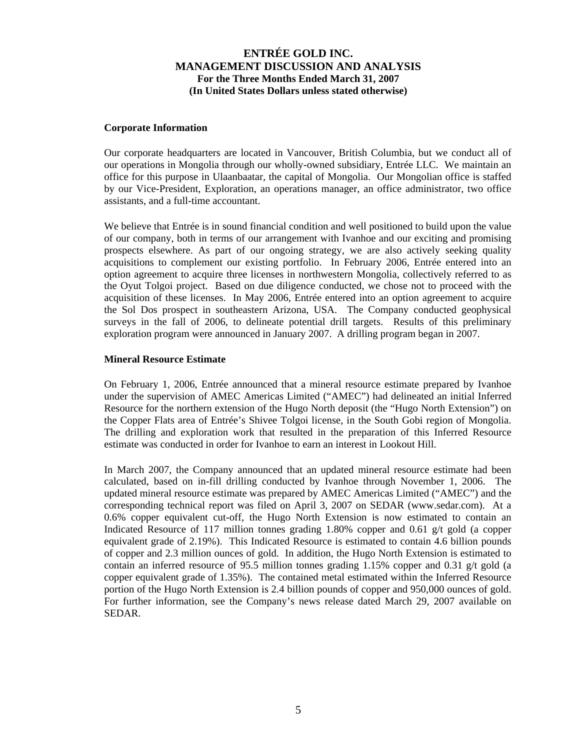### **Corporate Information**

Our corporate headquarters are located in Vancouver, British Columbia, but we conduct all of our operations in Mongolia through our wholly-owned subsidiary, Entrée LLC. We maintain an office for this purpose in Ulaanbaatar, the capital of Mongolia. Our Mongolian office is staffed by our Vice-President, Exploration, an operations manager, an office administrator, two office assistants, and a full-time accountant.

We believe that Entrée is in sound financial condition and well positioned to build upon the value of our company, both in terms of our arrangement with Ivanhoe and our exciting and promising prospects elsewhere. As part of our ongoing strategy, we are also actively seeking quality acquisitions to complement our existing portfolio. In February 2006, Entrée entered into an option agreement to acquire three licenses in northwestern Mongolia, collectively referred to as the Oyut Tolgoi project. Based on due diligence conducted, we chose not to proceed with the acquisition of these licenses. In May 2006, Entrée entered into an option agreement to acquire the Sol Dos prospect in southeastern Arizona, USA. The Company conducted geophysical surveys in the fall of 2006, to delineate potential drill targets. Results of this preliminary exploration program were announced in January 2007. A drilling program began in 2007.

## **Mineral Resource Estimate**

On February 1, 2006, Entrée announced that a mineral resource estimate prepared by Ivanhoe under the supervision of AMEC Americas Limited ("AMEC") had delineated an initial Inferred Resource for the northern extension of the Hugo North deposit (the "Hugo North Extension") on the Copper Flats area of Entrée's Shivee Tolgoi license, in the South Gobi region of Mongolia. The drilling and exploration work that resulted in the preparation of this Inferred Resource estimate was conducted in order for Ivanhoe to earn an interest in Lookout Hill.

In March 2007, the Company announced that an updated mineral resource estimate had been calculated, based on in-fill drilling conducted by Ivanhoe through November 1, 2006. The updated mineral resource estimate was prepared by AMEC Americas Limited ("AMEC") and the corresponding technical report was filed on April 3, 2007 on SEDAR [\(www.sedar.com\)](http://www.sedar.com/). At a 0.6% copper equivalent cut-off, the Hugo North Extension is now estimated to contain an Indicated Resource of 117 million tonnes grading 1.80% copper and 0.61 g/t gold (a copper equivalent grade of 2.19%). This Indicated Resource is estimated to contain 4.6 billion pounds of copper and 2.3 million ounces of gold. In addition, the Hugo North Extension is estimated to contain an inferred resource of 95.5 million tonnes grading 1.15% copper and 0.31 g/t gold (a copper equivalent grade of 1.35%). The contained metal estimated within the Inferred Resource portion of the Hugo North Extension is 2.4 billion pounds of copper and 950,000 ounces of gold. For further information, see the Company's news release dated March 29, 2007 available on SEDAR.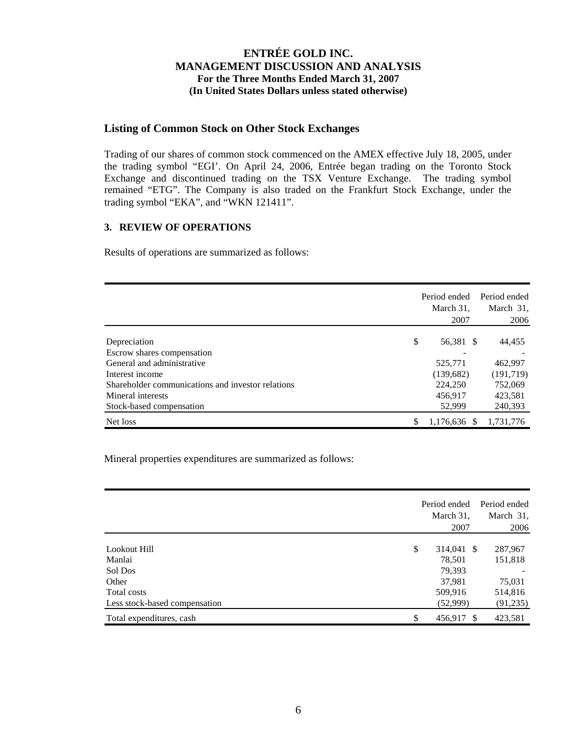## **Listing of Common Stock on Other Stock Exchanges**

Trading of our shares of common stock commenced on the AMEX effective July 18, 2005, under the trading symbol "EGI'. On April 24, 2006, Entrée began trading on the Toronto Stock Exchange and discontinued trading on the TSX Venture Exchange. The trading symbol remained "ETG". The Company is also traded on the Frankfurt Stock Exchange, under the trading symbol "EKA", and "WKN 121411".

## **3. REVIEW OF OPERATIONS**

Results of operations are summarized as follows:

|                                                   | Period ended<br>March 31,<br>2007 | Period ended<br>March 31, | 2006 |
|---------------------------------------------------|-----------------------------------|---------------------------|------|
| Depreciation                                      | \$<br>56,381 \$                   | 44,455                    |      |
| Escrow shares compensation                        |                                   |                           |      |
| General and administrative                        | 525,771                           | 462,997                   |      |
| Interest income                                   | (139,682)                         | (191, 719)                |      |
| Shareholder communications and investor relations | 224,250                           | 752,069                   |      |
| Mineral interests                                 | 456,917                           | 423,581                   |      |
| Stock-based compensation                          | 52,999                            | 240,393                   |      |
| Net loss                                          | 1,176,636 \$                      | 1,731,776                 |      |

Mineral properties expenditures are summarized as follows:

|                               | Period ended<br>March 31,<br>2007 | Period ended<br>March 31,<br>2006 |
|-------------------------------|-----------------------------------|-----------------------------------|
| Lookout Hill                  | \$<br>314,041 \$                  | 287,967                           |
| Manlai                        | 78,501                            | 151,818                           |
| Sol Dos                       | 79,393                            |                                   |
| Other                         | 37,981                            | 75,031                            |
| Total costs                   | 509,916                           | 514,816                           |
| Less stock-based compensation | (52,999)                          | (91, 235)                         |
| Total expenditures, cash      | \$<br>456,917 \$                  | 423,581                           |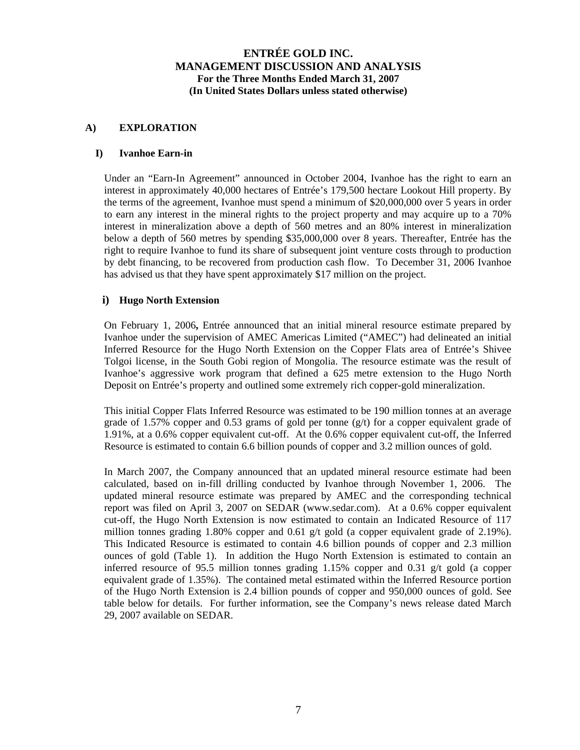## **A) EXPLORATION**

### **I) Ivanhoe Earn-in**

Under an "Earn-In Agreement" announced in October 2004, Ivanhoe has the right to earn an interest in approximately 40,000 hectares of Entrée's 179,500 hectare Lookout Hill property. By the terms of the agreement, Ivanhoe must spend a minimum of \$20,000,000 over 5 years in order to earn any interest in the mineral rights to the project property and may acquire up to a 70% interest in mineralization above a depth of 560 metres and an 80% interest in mineralization below a depth of 560 metres by spending \$35,000,000 over 8 years. Thereafter, Entrée has the right to require Ivanhoe to fund its share of subsequent joint venture costs through to production by debt financing, to be recovered from production cash flow. To December 31, 2006 Ivanhoe has advised us that they have spent approximately \$17 million on the project.

### **i) Hugo North Extension**

On February 1, 2006**,** Entrée announced that an initial mineral resource estimate prepared by Ivanhoe under the supervision of AMEC Americas Limited ("AMEC") had delineated an initial Inferred Resource for the Hugo North Extension on the Copper Flats area of Entrée's Shivee Tolgoi license, in the South Gobi region of Mongolia. The resource estimate was the result of Ivanhoe's aggressive work program that defined a 625 metre extension to the Hugo North Deposit on Entrée's property and outlined some extremely rich copper-gold mineralization.

This initial Copper Flats Inferred Resource was estimated to be 190 million tonnes at an average grade of 1.57% copper and 0.53 grams of gold per tonne  $(g/t)$  for a copper equivalent grade of 1.91%, at a 0.6% copper equivalent cut-off. At the 0.6% copper equivalent cut-off, the Inferred Resource is estimated to contain 6.6 billion pounds of copper and 3.2 million ounces of gold.

In March 2007, the Company announced that an updated mineral resource estimate had been calculated, based on in-fill drilling conducted by Ivanhoe through November 1, 2006. The updated mineral resource estimate was prepared by AMEC and the corresponding technical report was filed on April 3, 2007 on SEDAR [\(www.sedar.com\)](http://www.sedar.com/). At a 0.6% copper equivalent cut-off, the Hugo North Extension is now estimated to contain an Indicated Resource of 117 million tonnes grading 1.80% copper and 0.61 g/t gold (a copper equivalent grade of 2.19%). This Indicated Resource is estimated to contain 4.6 billion pounds of copper and 2.3 million ounces of gold (Table 1). In addition the Hugo North Extension is estimated to contain an inferred resource of 95.5 million tonnes grading 1.15% copper and 0.31 g/t gold (a copper equivalent grade of 1.35%). The contained metal estimated within the Inferred Resource portion of the Hugo North Extension is 2.4 billion pounds of copper and 950,000 ounces of gold. See table below for details. For further information, see the Company's news release dated March 29, 2007 available on SEDAR.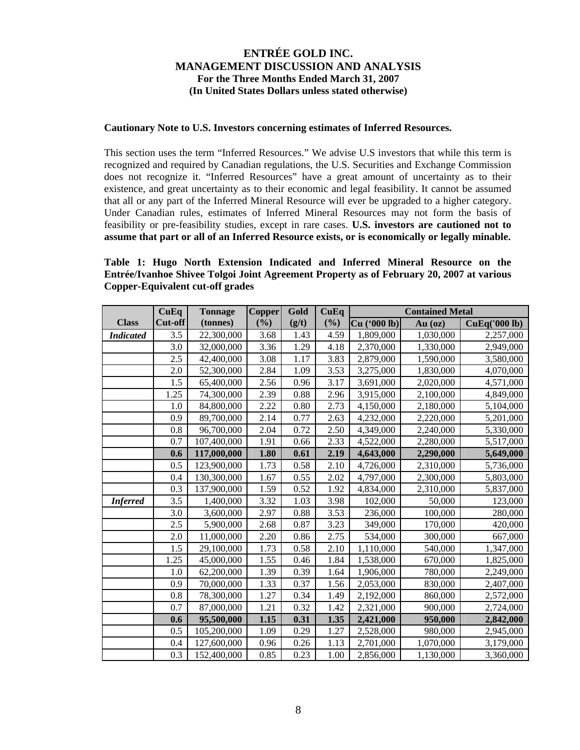### **Cautionary Note to U.S. Investors concerning estimates of Inferred Resources.**

This section uses the term "Inferred Resources." We advise U.S investors that while this term is recognized and required by Canadian regulations, the U.S. Securities and Exchange Commission does not recognize it. "Inferred Resources" have a great amount of uncertainty as to their existence, and great uncertainty as to their economic and legal feasibility. It cannot be assumed that all or any part of the Inferred Mineral Resource will ever be upgraded to a higher category. Under Canadian rules, estimates of Inferred Mineral Resources may not form the basis of feasibility or pre-feasibility studies, except in rare cases. **U.S. investors are cautioned not to assume that part or all of an Inferred Resource exists, or is economically or legally minable.** 

## **Table 1: Hugo North Extension Indicated and Inferred Mineral Resource on the Entrée/Ivanhoe Shivee Tolgoi Joint Agreement Property as of February 20, 2007 at various Copper-Equivalent cut-off grades**

|                  | CuEq    | <b>Tonnage</b> | <b>Copper</b> | Gold  | CuEq | <b>Contained Metal</b> |           |                      |
|------------------|---------|----------------|---------------|-------|------|------------------------|-----------|----------------------|
| <b>Class</b>     | Cut-off | (tonnes)       | (%)           | (g/t) | (%)  | Cu ('000 lb)           | $Au$ (oz) | <b>CuEq('000 lb)</b> |
| <b>Indicated</b> | 3.5     | 22,300,000     | 3.68          | 1.43  | 4.59 | 1,809,000              | 1,030,000 | 2,257,000            |
|                  | 3.0     | 32,000,000     | 3.36          | 1.29  | 4.18 | 2,370,000              | 1,330,000 | 2,949,000            |
|                  | 2.5     | 42,400,000     | 3.08          | 1.17  | 3.83 | 2,879,000              | 1,590,000 | 3,580,000            |
|                  | 2.0     | 52,300,000     | 2.84          | 1.09  | 3.53 | 3,275,000              | 1,830,000 | 4,070,000            |
|                  | 1.5     | 65,400,000     | 2.56          | 0.96  | 3.17 | 3,691,000              | 2,020,000 | 4,571,000            |
|                  | 1.25    | 74,300,000     | 2.39          | 0.88  | 2.96 | 3,915,000              | 2,100,000 | 4,849,000            |
|                  | 1.0     | 84,800,000     | 2.22          | 0.80  | 2.73 | 4,150,000              | 2,180,000 | 5,104,000            |
|                  | 0.9     | 89,700,000     | 2.14          | 0.77  | 2.63 | 4,232,000              | 2,220,000 | 5,201,000            |
|                  | 0.8     | 96,700,000     | 2.04          | 0.72  | 2.50 | 4,349,000              | 2,240,000 | 5,330,000            |
|                  | 0.7     | 107,400,000    | 1.91          | 0.66  | 2.33 | 4,522,000              | 2,280,000 | 5,517,000            |
|                  | 0.6     | 117,000,000    | 1.80          | 0.61  | 2.19 | 4,643,000              | 2,290,000 | 5,649,000            |
|                  | 0.5     | 123,900,000    | 1.73          | 0.58  | 2.10 | 4,726,000              | 2,310,000 | 5,736,000            |
|                  | 0.4     | 130,300,000    | 1.67          | 0.55  | 2.02 | 4,797,000              | 2,300,000 | 5,803,000            |
|                  | 0.3     | 137,900,000    | 1.59          | 0.52  | 1.92 | 4,834,000              | 2,310,000 | 5,837,000            |
| <b>Inferred</b>  | 3.5     | 1,400,000      | 3.32          | 1.03  | 3.98 | 102,000                | 50,000    | 123,000              |
|                  | 3.0     | 3,600,000      | 2.97          | 0.88  | 3.53 | 236,000                | 100,000   | 280,000              |
|                  | 2.5     | 5,900,000      | 2.68          | 0.87  | 3.23 | 349,000                | 170,000   | 420,000              |
|                  | 2.0     | 11,000,000     | 2.20          | 0.86  | 2.75 | 534,000                | 300,000   | 667,000              |
|                  | 1.5     | 29,100,000     | 1.73          | 0.58  | 2.10 | 1,110,000              | 540,000   | 1,347,000            |
|                  | 1.25    | 45,000,000     | 1.55          | 0.46  | 1.84 | 1,538,000              | 670,000   | 1,825,000            |
|                  | 1.0     | 62,200,000     | 1.39          | 0.39  | 1.64 | 1,906,000              | 780,000   | 2,249,000            |
|                  | 0.9     | 70,000,000     | 1.33          | 0.37  | 1.56 | 2,053,000              | 830,000   | 2,407,000            |
|                  | 0.8     | 78,300,000     | 1.27          | 0.34  | 1.49 | 2,192,000              | 860,000   | 2,572,000            |
|                  | 0.7     | 87,000,000     | 1.21          | 0.32  | 1.42 | 2,321,000              | 900,000   | 2,724,000            |
|                  | 0.6     | 95,500,000     | 1.15          | 0.31  | 1.35 | 2,421,000              | 950,000   | 2,842,000            |
|                  | 0.5     | 105,200,000    | 1.09          | 0.29  | 1.27 | 2,528,000              | 980,000   | 2,945,000            |
|                  | 0.4     | 127,600,000    | 0.96          | 0.26  | 1.13 | 2,701,000              | 1,070,000 | 3,179,000            |
|                  | 0.3     | 152,400,000    | 0.85          | 0.23  | 1.00 | 2,856,000              | 1,130,000 | 3,360,000            |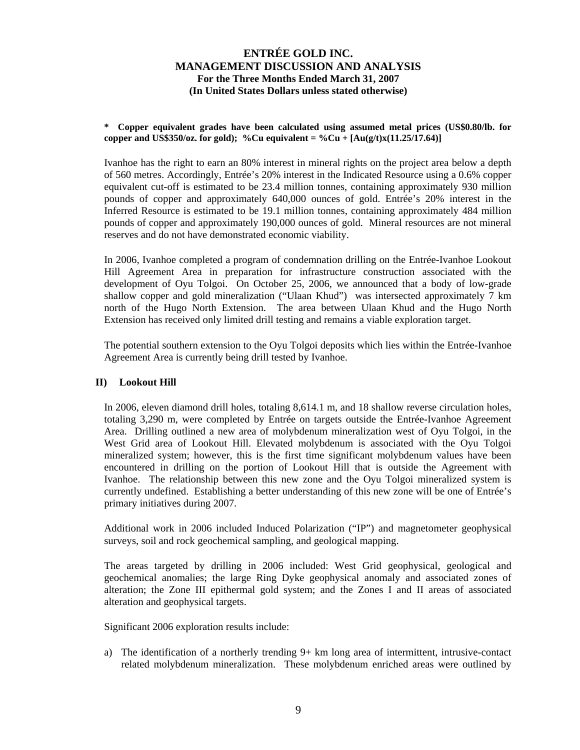### **\* Copper equivalent grades have been calculated using assumed metal prices (US\$0.80/lb. for copper and US\$350/oz. for gold); %Cu equivalent = %Cu +**  $[Au(g/t)x(11.25/17.64)]$

Ivanhoe has the right to earn an 80% interest in mineral rights on the project area below a depth of 560 metres. Accordingly, Entrée's 20% interest in the Indicated Resource using a 0.6% copper equivalent cut-off is estimated to be 23.4 million tonnes, containing approximately 930 million pounds of copper and approximately 640,000 ounces of gold. Entrée's 20% interest in the Inferred Resource is estimated to be 19.1 million tonnes, containing approximately 484 million pounds of copper and approximately 190,000 ounces of gold. Mineral resources are not mineral reserves and do not have demonstrated economic viability.

In 2006, Ivanhoe completed a program of condemnation drilling on the Entrée-Ivanhoe Lookout Hill Agreement Area in preparation for infrastructure construction associated with the development of Oyu Tolgoi. On October 25, 2006, we announced that a body of low-grade shallow copper and gold mineralization ("Ulaan Khud") was intersected approximately 7 km north of the Hugo North Extension. The area between Ulaan Khud and the Hugo North Extension has received only limited drill testing and remains a viable exploration target.

The potential southern extension to the Oyu Tolgoi deposits which lies within the Entrée-Ivanhoe Agreement Area is currently being drill tested by Ivanhoe.

## **II) Lookout Hill**

In 2006, eleven diamond drill holes, totaling 8,614.1 m, and 18 shallow reverse circulation holes, totaling 3,290 m, were completed by Entrée on targets outside the Entrée-Ivanhoe Agreement Area. Drilling outlined a new area of molybdenum mineralization west of Oyu Tolgoi, in the West Grid area of Lookout Hill. Elevated molybdenum is associated with the Oyu Tolgoi mineralized system; however, this is the first time significant molybdenum values have been encountered in drilling on the portion of Lookout Hill that is outside the Agreement with Ivanhoe. The relationship between this new zone and the Oyu Tolgoi mineralized system is currently undefined. Establishing a better understanding of this new zone will be one of Entrée's primary initiatives during 2007.

Additional work in 2006 included Induced Polarization ("IP") and magnetometer geophysical surveys, soil and rock geochemical sampling, and geological mapping.

The areas targeted by drilling in 2006 included: West Grid geophysical, geological and geochemical anomalies; the large Ring Dyke geophysical anomaly and associated zones of alteration; the Zone III epithermal gold system; and the Zones I and II areas of associated alteration and geophysical targets.

Significant 2006 exploration results include:

a) The identification of a northerly trending 9+ km long area of intermittent, intrusive-contact related molybdenum mineralization. These molybdenum enriched areas were outlined by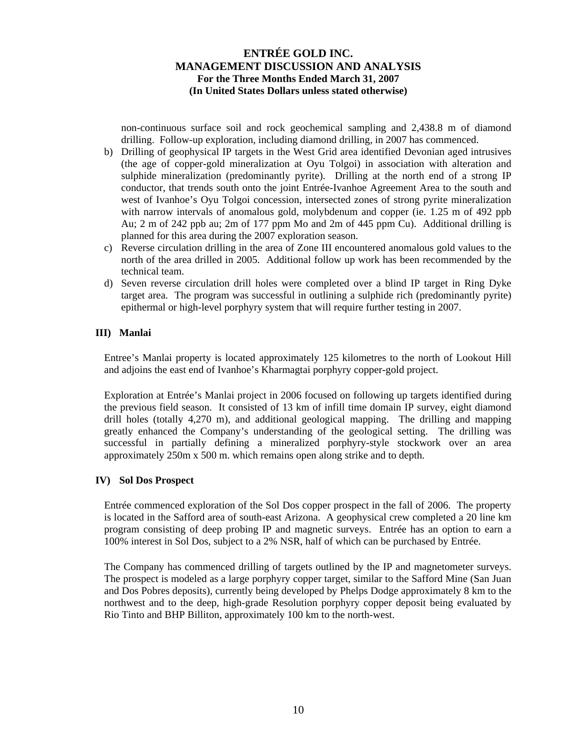non-continuous surface soil and rock geochemical sampling and 2,438.8 m of diamond drilling. Follow-up exploration, including diamond drilling, in 2007 has commenced.

- b) Drilling of geophysical IP targets in the West Grid area identified Devonian aged intrusives (the age of copper-gold mineralization at Oyu Tolgoi) in association with alteration and sulphide mineralization (predominantly pyrite). Drilling at the north end of a strong IP conductor, that trends south onto the joint Entrée-Ivanhoe Agreement Area to the south and west of Ivanhoe's Oyu Tolgoi concession, intersected zones of strong pyrite mineralization with narrow intervals of anomalous gold, molybdenum and copper (ie. 1.25 m of 492 ppb Au; 2 m of 242 ppb au; 2m of 177 ppm Mo and 2m of 445 ppm Cu). Additional drilling is planned for this area during the 2007 exploration season.
- c) Reverse circulation drilling in the area of Zone III encountered anomalous gold values to the north of the area drilled in 2005. Additional follow up work has been recommended by the technical team.
- d) Seven reverse circulation drill holes were completed over a blind IP target in Ring Dyke target area. The program was successful in outlining a sulphide rich (predominantly pyrite) epithermal or high-level porphyry system that will require further testing in 2007.

### **III) Manlai**

Entree's Manlai property is located approximately 125 kilometres to the north of Lookout Hill and adjoins the east end of Ivanhoe's Kharmagtai porphyry copper-gold project.

Exploration at Entrée's Manlai project in 2006 focused on following up targets identified during the previous field season. It consisted of 13 km of infill time domain IP survey, eight diamond drill holes (totally 4,270 m), and additional geological mapping. The drilling and mapping greatly enhanced the Company's understanding of the geological setting. The drilling was successful in partially defining a mineralized porphyry-style stockwork over an area approximately 250m x 500 m. which remains open along strike and to depth.

### **IV) Sol Dos Prospect**

Entrée commenced exploration of the Sol Dos copper prospect in the fall of 2006. The property is located in the Safford area of south-east Arizona. A geophysical crew completed a 20 line km program consisting of deep probing IP and magnetic surveys. Entrée has an option to earn a 100% interest in Sol Dos, subject to a 2% NSR, half of which can be purchased by Entrée.

The Company has commenced drilling of targets outlined by the IP and magnetometer surveys. The prospect is modeled as a large porphyry copper target, similar to the Safford Mine (San Juan and Dos Pobres deposits), currently being developed by Phelps Dodge approximately 8 km to the northwest and to the deep, high-grade Resolution porphyry copper deposit being evaluated by Rio Tinto and BHP Billiton, approximately 100 km to the north-west.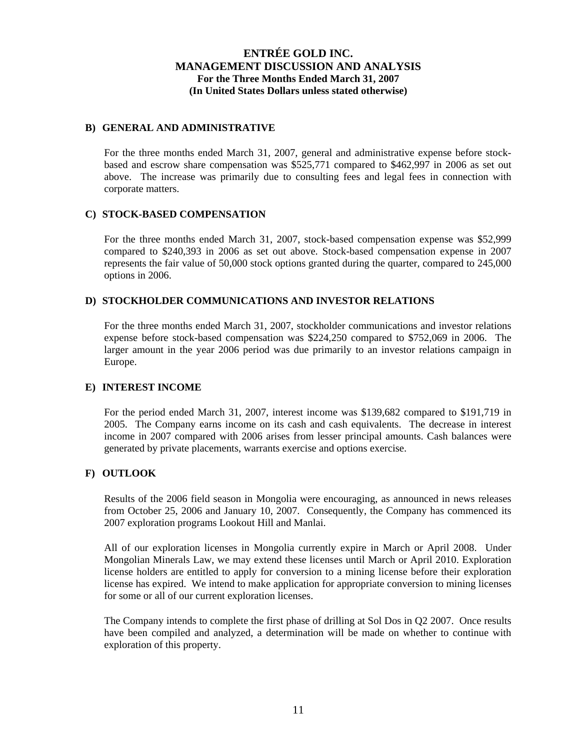### **B) GENERAL AND ADMINISTRATIVE**

For the three months ended March 31, 2007, general and administrative expense before stockbased and escrow share compensation was \$525,771 compared to \$462,997 in 2006 as set out above. The increase was primarily due to consulting fees and legal fees in connection with corporate matters.

### **C) STOCK-BASED COMPENSATION**

For the three months ended March 31, 2007, stock-based compensation expense was \$52,999 compared to \$240,393 in 2006 as set out above. Stock-based compensation expense in 2007 represents the fair value of 50,000 stock options granted during the quarter, compared to 245,000 options in 2006.

## **D) STOCKHOLDER COMMUNICATIONS AND INVESTOR RELATIONS**

For the three months ended March 31, 2007, stockholder communications and investor relations expense before stock-based compensation was \$224,250 compared to \$752,069 in 2006. The larger amount in the year 2006 period was due primarily to an investor relations campaign in Europe.

## **E) INTEREST INCOME**

For the period ended March 31, 2007, interest income was \$139,682 compared to \$191,719 in 2005. The Company earns income on its cash and cash equivalents. The decrease in interest income in 2007 compared with 2006 arises from lesser principal amounts. Cash balances were generated by private placements, warrants exercise and options exercise.

## **F) OUTLOOK**

Results of the 2006 field season in Mongolia were encouraging, as announced in news releases from October 25, 2006 and January 10, 2007. Consequently, the Company has commenced its 2007 exploration programs Lookout Hill and Manlai.

All of our exploration licenses in Mongolia currently expire in March or April 2008. Under Mongolian Minerals Law, we may extend these licenses until March or April 2010. Exploration license holders are entitled to apply for conversion to a mining license before their exploration license has expired. We intend to make application for appropriate conversion to mining licenses for some or all of our current exploration licenses.

The Company intends to complete the first phase of drilling at Sol Dos in Q2 2007. Once results have been compiled and analyzed, a determination will be made on whether to continue with exploration of this property.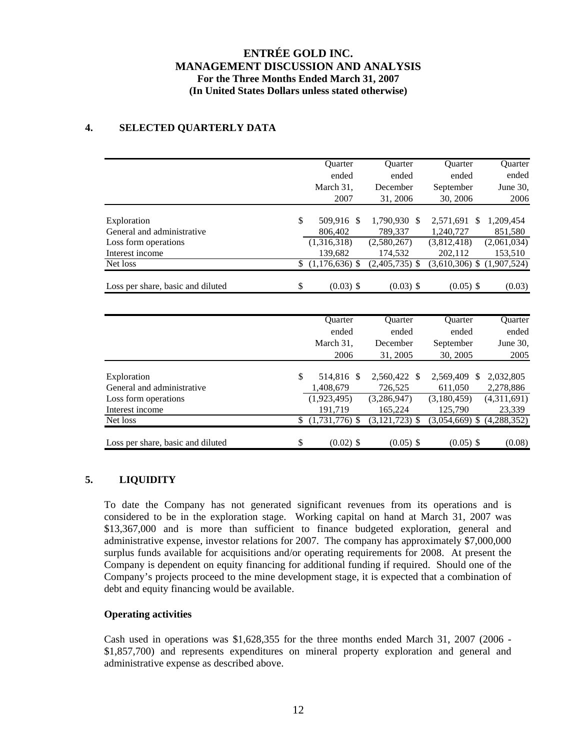# **4. SELECTED QUARTERLY DATA**

|                                   | <b>Ouarter</b>         | <b>Ouarter</b>   | <b>Ouarter</b>             | Quarter     |
|-----------------------------------|------------------------|------------------|----------------------------|-------------|
|                                   | ended                  | ended            | ended                      | ended       |
|                                   | March 31,              | December         | September                  | June 30,    |
|                                   | 2007                   | 31, 2006         | 30, 2006                   | 2006        |
|                                   | \$                     |                  |                            |             |
| Exploration                       | 509,916<br>-S          | 1,790,930 \$     | 2,571,691<br><sup>\$</sup> | 1,209,454   |
| General and administrative        | 806,402                | 789.337          | 1,240,727                  | 851,580     |
| Loss form operations              | (1,316,318)            | (2,580,267)      | (3,812,418)                | (2,061,034) |
| Interest income                   | 139,682                | 174,532          | 202,112                    | 153,510     |
| Net loss                          | \$<br>$(1,176,636)$ \$ | $(2,405,735)$ \$ | $(3,610,306)$ \$           | (1,907,524) |
| Loss per share, basic and diluted | \$<br>$(0.03)$ \$      | $(0.03)$ \$      | $(0.05)$ \$                | (0.03)      |
|                                   |                        |                  |                            |             |
|                                   | Quarter                | Quarter          | <b>Ouarter</b>             | Quarter     |
|                                   | ended                  | ended            | ended                      | ended       |
|                                   | March 31,              | December         | September                  | June 30,    |
|                                   | 2006                   | 31, 2005         | 30, 2005                   | 2005        |
| Exploration                       | \$<br>514,816<br>-\$   | 2,560,422 \$     | 2,569,409<br><sup>\$</sup> | 2,032,805   |
| General and administrative        | 1,408,679              | 726,525          | 611,050                    | 2,278,886   |
| Loss form operations              | (1,923,495)            | (3,286,947)      | (3,180,459)                | (4,311,691) |
| Interest income                   | 191,719                | 165,224          | 125,790                    | 23,339      |
| Net loss                          | \$(1,731,776)          | $(3,121,723)$ \$ | $(3,054,669)$ \$           | (4,288,352) |
|                                   |                        |                  |                            |             |
| Loss per share, basic and diluted | \$<br>$(0.02)$ \$      | $(0.05)$ \$      | $(0.05)$ \$                | (0.08)      |

# **5. LIQUIDITY**

To date the Company has not generated significant revenues from its operations and is considered to be in the exploration stage. Working capital on hand at March 31, 2007 was \$13,367,000 and is more than sufficient to finance budgeted exploration, general and administrative expense, investor relations for 2007. The company has approximately \$7,000,000 surplus funds available for acquisitions and/or operating requirements for 2008. At present the Company is dependent on equity financing for additional funding if required. Should one of the Company's projects proceed to the mine development stage, it is expected that a combination of debt and equity financing would be available.

## **Operating activities**

Cash used in operations was \$1,628,355 for the three months ended March 31, 2007 (2006 - \$1,857,700) and represents expenditures on mineral property exploration and general and administrative expense as described above.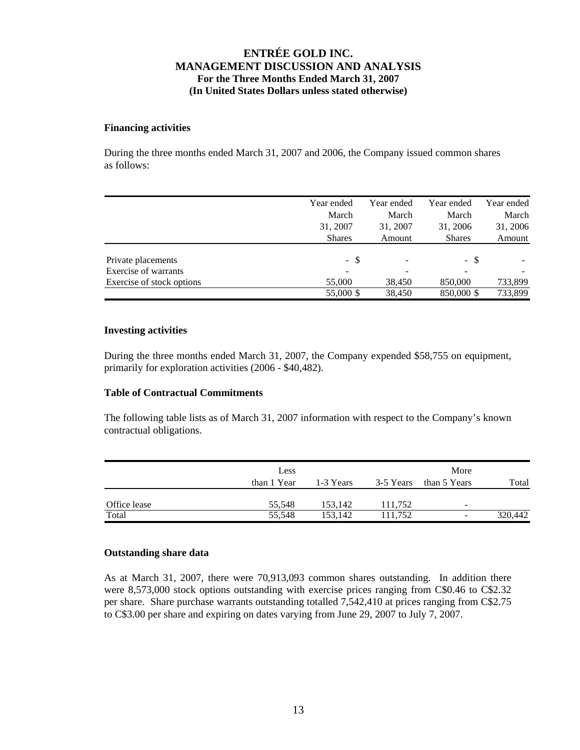### **Financing activities**

During the three months ended March 31, 2007 and 2006, the Company issued common shares as follows:

|                           | Year ended    | Year ended | Year ended                   | Year ended |
|---------------------------|---------------|------------|------------------------------|------------|
|                           | March         | March      | March                        | March      |
|                           | 31, 2007      | 31, 2007   | 31, 2006                     | 31, 2006   |
|                           | <b>Shares</b> | Amount     | <b>Shares</b>                | Amount     |
|                           |               |            |                              |            |
| Private placements        | - \$          |            | - \$                         |            |
| Exercise of warrants      |               |            | $\qquad \qquad \blacksquare$ |            |
| Exercise of stock options | 55,000        | 38,450     | 850,000                      | 733,899    |
|                           | 55,000 \$     | 38,450     | 850,000 \$                   | 733,899    |

### **Investing activities**

During the three months ended March 31, 2007, the Company expended \$58,755 on equipment, primarily for exploration activities (2006 - \$40,482).

### **Table of Contractual Commitments**

The following table lists as of March 31, 2007 information with respect to the Company's known contractual obligations.

| Less        | More             |                    |                          |                          |
|-------------|------------------|--------------------|--------------------------|--------------------------|
| than 1 Year | 1-3 Years        | 3-5 Years          | than 5 Years             | Total                    |
|             |                  |                    |                          |                          |
|             |                  |                    | $\overline{\phantom{m}}$ | 320,442                  |
|             | 55,548<br>55,548 | 153,142<br>153.142 | 111,752<br>111.752       | $\overline{\phantom{a}}$ |

## **Outstanding share data**

As at March 31, 2007, there were 70,913,093 common shares outstanding. In addition there were 8,573,000 stock options outstanding with exercise prices ranging from C\$0.46 to C\$2.32 per share. Share purchase warrants outstanding totalled 7,542,410 at prices ranging from C\$2.75 to C\$3.00 per share and expiring on dates varying from June 29, 2007 to July 7, 2007.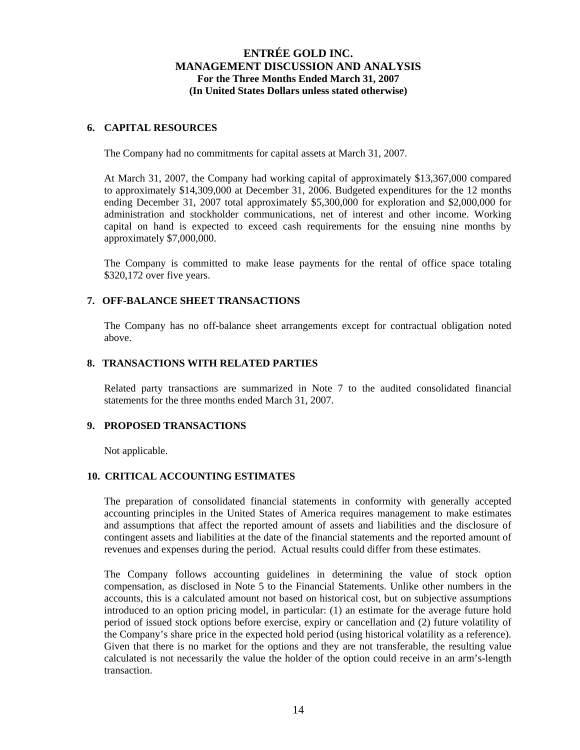### **6. CAPITAL RESOURCES**

The Company had no commitments for capital assets at March 31, 2007.

At March 31, 2007, the Company had working capital of approximately \$13,367,000 compared to approximately \$14,309,000 at December 31, 2006. Budgeted expenditures for the 12 months ending December 31, 2007 total approximately \$5,300,000 for exploration and \$2,000,000 for administration and stockholder communications, net of interest and other income. Working capital on hand is expected to exceed cash requirements for the ensuing nine months by approximately \$7,000,000.

The Company is committed to make lease payments for the rental of office space totaling \$320,172 over five years.

### **7. OFF-BALANCE SHEET TRANSACTIONS**

The Company has no off-balance sheet arrangements except for contractual obligation noted above.

### **8. TRANSACTIONS WITH RELATED PARTIES**

Related party transactions are summarized in Note 7 to the audited consolidated financial statements for the three months ended March 31, 2007.

### **9. PROPOSED TRANSACTIONS**

Not applicable.

## **10. CRITICAL ACCOUNTING ESTIMATES**

The preparation of consolidated financial statements in conformity with generally accepted accounting principles in the United States of America requires management to make estimates and assumptions that affect the reported amount of assets and liabilities and the disclosure of contingent assets and liabilities at the date of the financial statements and the reported amount of revenues and expenses during the period. Actual results could differ from these estimates.

The Company follows accounting guidelines in determining the value of stock option compensation, as disclosed in Note 5 to the Financial Statements. Unlike other numbers in the accounts, this is a calculated amount not based on historical cost, but on subjective assumptions introduced to an option pricing model, in particular: (1) an estimate for the average future hold period of issued stock options before exercise, expiry or cancellation and (2) future volatility of the Company's share price in the expected hold period (using historical volatility as a reference). Given that there is no market for the options and they are not transferable, the resulting value calculated is not necessarily the value the holder of the option could receive in an arm's-length transaction.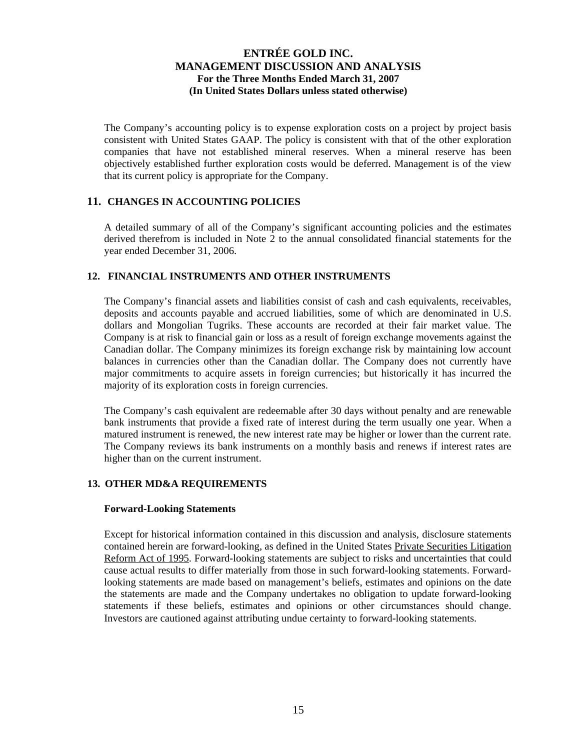The Company's accounting policy is to expense exploration costs on a project by project basis consistent with United States GAAP. The policy is consistent with that of the other exploration companies that have not established mineral reserves. When a mineral reserve has been objectively established further exploration costs would be deferred. Management is of the view that its current policy is appropriate for the Company.

## **11. CHANGES IN ACCOUNTING POLICIES**

A detailed summary of all of the Company's significant accounting policies and the estimates derived therefrom is included in Note 2 to the annual consolidated financial statements for the year ended December 31, 2006.

## **12. FINANCIAL INSTRUMENTS AND OTHER INSTRUMENTS**

The Company's financial assets and liabilities consist of cash and cash equivalents, receivables, deposits and accounts payable and accrued liabilities, some of which are denominated in U.S. dollars and Mongolian Tugriks. These accounts are recorded at their fair market value. The Company is at risk to financial gain or loss as a result of foreign exchange movements against the Canadian dollar. The Company minimizes its foreign exchange risk by maintaining low account balances in currencies other than the Canadian dollar. The Company does not currently have major commitments to acquire assets in foreign currencies; but historically it has incurred the majority of its exploration costs in foreign currencies.

The Company's cash equivalent are redeemable after 30 days without penalty and are renewable bank instruments that provide a fixed rate of interest during the term usually one year. When a matured instrument is renewed, the new interest rate may be higher or lower than the current rate. The Company reviews its bank instruments on a monthly basis and renews if interest rates are higher than on the current instrument.

## **13. OTHER MD&A REQUIREMENTS**

### **Forward-Looking Statements**

Except for historical information contained in this discussion and analysis, disclosure statements contained herein are forward-looking, as defined in the United States Private Securities Litigation Reform Act of 1995. Forward-looking statements are subject to risks and uncertainties that could cause actual results to differ materially from those in such forward-looking statements. Forwardlooking statements are made based on management's beliefs, estimates and opinions on the date the statements are made and the Company undertakes no obligation to update forward-looking statements if these beliefs, estimates and opinions or other circumstances should change. Investors are cautioned against attributing undue certainty to forward-looking statements.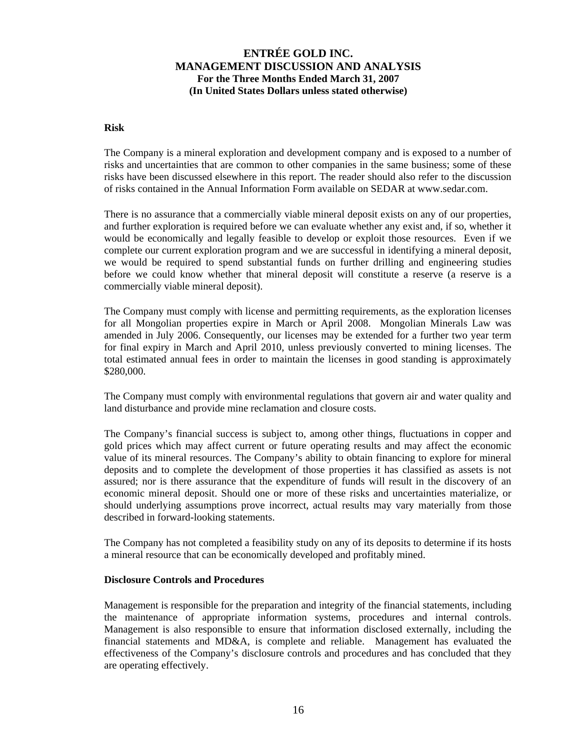### **Risk**

The Company is a mineral exploration and development company and is exposed to a number of risks and uncertainties that are common to other companies in the same business; some of these risks have been discussed elsewhere in this report. The reader should also refer to the discussion of risks contained in the Annual Information Form available on SEDAR at www.sedar.com.

There is no assurance that a commercially viable mineral deposit exists on any of our properties, and further exploration is required before we can evaluate whether any exist and, if so, whether it would be economically and legally feasible to develop or exploit those resources. Even if we complete our current exploration program and we are successful in identifying a mineral deposit, we would be required to spend substantial funds on further drilling and engineering studies before we could know whether that mineral deposit will constitute a reserve (a reserve is a commercially viable mineral deposit).

The Company must comply with license and permitting requirements, as the exploration licenses for all Mongolian properties expire in March or April 2008. Mongolian Minerals Law was amended in July 2006. Consequently, our licenses may be extended for a further two year term for final expiry in March and April 2010, unless previously converted to mining licenses. The total estimated annual fees in order to maintain the licenses in good standing is approximately \$280,000.

The Company must comply with environmental regulations that govern air and water quality and land disturbance and provide mine reclamation and closure costs.

The Company's financial success is subject to, among other things, fluctuations in copper and gold prices which may affect current or future operating results and may affect the economic value of its mineral resources. The Company's ability to obtain financing to explore for mineral deposits and to complete the development of those properties it has classified as assets is not assured; nor is there assurance that the expenditure of funds will result in the discovery of an economic mineral deposit. Should one or more of these risks and uncertainties materialize, or should underlying assumptions prove incorrect, actual results may vary materially from those described in forward-looking statements.

The Company has not completed a feasibility study on any of its deposits to determine if its hosts a mineral resource that can be economically developed and profitably mined.

### **Disclosure Controls and Procedures**

Management is responsible for the preparation and integrity of the financial statements, including the maintenance of appropriate information systems, procedures and internal controls. Management is also responsible to ensure that information disclosed externally, including the financial statements and MD&A, is complete and reliable. Management has evaluated the effectiveness of the Company's disclosure controls and procedures and has concluded that they are operating effectively.